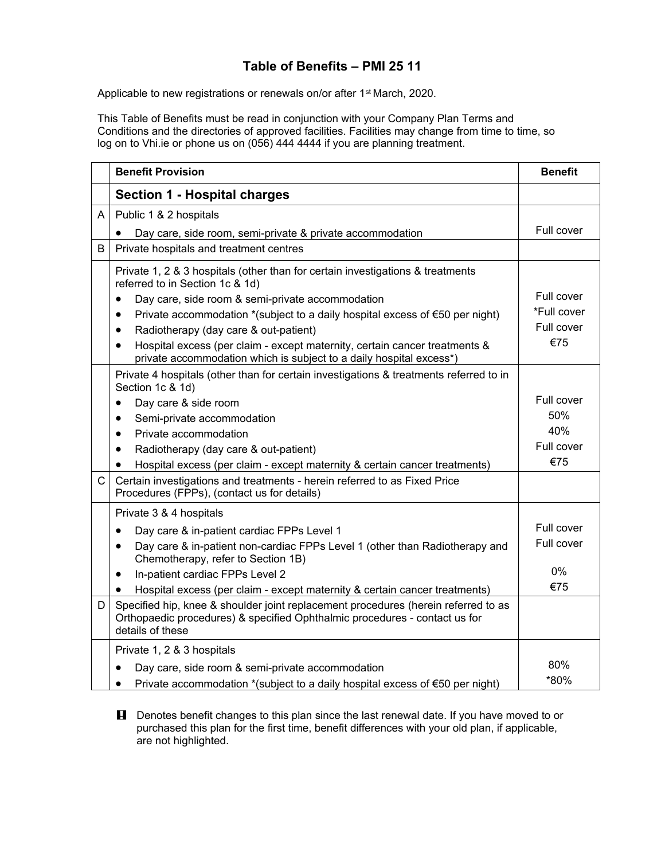## **Table of Benefits – PMI 25 11**

Applicable to new registrations or renewals on/or after 1<sup>st</sup> March, 2020.

This Table of Benefits must be read in conjunction with your Company Plan Terms and Conditions and the directories of approved facilities. Facilities may change from time to time, so log on to Vhi.ie or phone us on (056) 444 4444 if you are planning treatment.

|              | <b>Benefit Provision</b>                                                                                                                                                             | <b>Benefit</b> |
|--------------|--------------------------------------------------------------------------------------------------------------------------------------------------------------------------------------|----------------|
|              | <b>Section 1 - Hospital charges</b>                                                                                                                                                  |                |
| A            | Public 1 & 2 hospitals                                                                                                                                                               |                |
|              | Day care, side room, semi-private & private accommodation                                                                                                                            | Full cover     |
| B            | Private hospitals and treatment centres                                                                                                                                              |                |
|              | Private 1, 2 & 3 hospitals (other than for certain investigations & treatments<br>referred to in Section 1c & 1d)                                                                    |                |
|              | Day care, side room & semi-private accommodation<br>$\bullet$                                                                                                                        | Full cover     |
|              | Private accommodation *(subject to a daily hospital excess of $\epsilon$ 50 per night)<br>$\bullet$                                                                                  | *Full cover    |
|              | Radiotherapy (day care & out-patient)<br>$\bullet$                                                                                                                                   | Full cover     |
|              | Hospital excess (per claim - except maternity, certain cancer treatments &<br>$\bullet$<br>private accommodation which is subject to a daily hospital excess*)                       | €75            |
|              | Private 4 hospitals (other than for certain investigations & treatments referred to in<br>Section 1c & 1d)                                                                           |                |
|              | Day care & side room<br>$\bullet$                                                                                                                                                    | Full cover     |
|              | Semi-private accommodation<br>$\bullet$                                                                                                                                              | 50%            |
|              | Private accommodation<br>$\bullet$                                                                                                                                                   | 40%            |
|              | Radiotherapy (day care & out-patient)<br>$\bullet$                                                                                                                                   | Full cover     |
|              | Hospital excess (per claim - except maternity & certain cancer treatments)<br>$\bullet$                                                                                              | €75            |
| $\mathsf{C}$ | Certain investigations and treatments - herein referred to as Fixed Price<br>Procedures (FPPs), (contact us for details)                                                             |                |
|              | Private 3 & 4 hospitals                                                                                                                                                              |                |
|              | Day care & in-patient cardiac FPPs Level 1<br>$\bullet$                                                                                                                              | Full cover     |
|              | Day care & in-patient non-cardiac FPPs Level 1 (other than Radiotherapy and<br>$\bullet$<br>Chemotherapy, refer to Section 1B)                                                       | Full cover     |
|              | In-patient cardiac FPPs Level 2<br>$\bullet$                                                                                                                                         | 0%             |
|              | Hospital excess (per claim - except maternity & certain cancer treatments)<br>$\bullet$                                                                                              | €75            |
| D            | Specified hip, knee & shoulder joint replacement procedures (herein referred to as<br>Orthopaedic procedures) & specified Ophthalmic procedures - contact us for<br>details of these |                |
|              | Private 1, 2 & 3 hospitals                                                                                                                                                           |                |
|              | Day care, side room & semi-private accommodation                                                                                                                                     | 80%            |
|              | Private accommodation *(subject to a daily hospital excess of $\epsilon$ 50 per night)<br>$\bullet$                                                                                  | *80%           |

**H** Denotes benefit changes to this plan since the last renewal date. If you have moved to or purchased this plan for the first time, benefit differences with your old plan, if applicable, are not highlighted.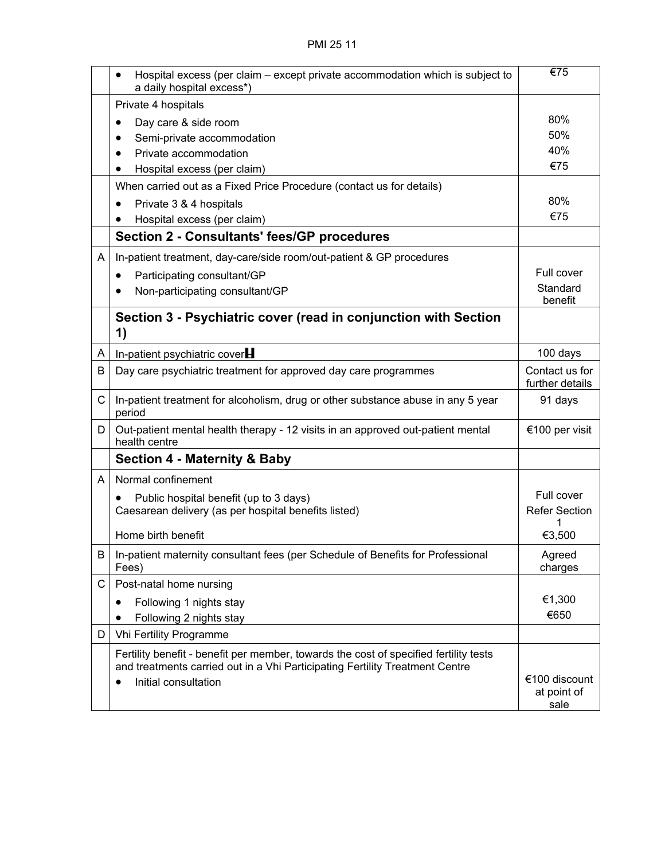|              | Hospital excess (per claim – except private accommodation which is subject to<br>a daily hospital excess*)                                                                                                 | €75                                  |
|--------------|------------------------------------------------------------------------------------------------------------------------------------------------------------------------------------------------------------|--------------------------------------|
|              | Private 4 hospitals                                                                                                                                                                                        |                                      |
|              | Day care & side room<br>$\bullet$                                                                                                                                                                          | 80%                                  |
|              | Semi-private accommodation                                                                                                                                                                                 | 50%                                  |
|              | Private accommodation                                                                                                                                                                                      | 40%                                  |
|              | Hospital excess (per claim)                                                                                                                                                                                | €75                                  |
|              | When carried out as a Fixed Price Procedure (contact us for details)                                                                                                                                       |                                      |
|              | Private 3 & 4 hospitals                                                                                                                                                                                    | 80%                                  |
|              | Hospital excess (per claim)                                                                                                                                                                                | €75                                  |
|              | <b>Section 2 - Consultants' fees/GP procedures</b>                                                                                                                                                         |                                      |
| A            | In-patient treatment, day-care/side room/out-patient & GP procedures                                                                                                                                       |                                      |
|              | Participating consultant/GP                                                                                                                                                                                | Full cover                           |
|              | Non-participating consultant/GP                                                                                                                                                                            | Standard<br>benefit                  |
|              | Section 3 - Psychiatric cover (read in conjunction with Section<br>1)                                                                                                                                      |                                      |
| A            | In-patient psychiatric cover $H$                                                                                                                                                                           | 100 days                             |
| B            | Day care psychiatric treatment for approved day care programmes                                                                                                                                            | Contact us for<br>further details    |
| $\mathsf{C}$ | In-patient treatment for alcoholism, drug or other substance abuse in any 5 year<br>period                                                                                                                 | 91 days                              |
| D            | Out-patient mental health therapy - 12 visits in an approved out-patient mental<br>health centre                                                                                                           | €100 per visit                       |
|              | <b>Section 4 - Maternity &amp; Baby</b>                                                                                                                                                                    |                                      |
| A            | Normal confinement                                                                                                                                                                                         |                                      |
|              | Public hospital benefit (up to 3 days)                                                                                                                                                                     | Full cover                           |
|              | Caesarean delivery (as per hospital benefits listed)                                                                                                                                                       | <b>Refer Section</b>                 |
|              | Home birth benefit                                                                                                                                                                                         | 1<br>€3,500                          |
| B            | In-patient maternity consultant fees (per Schedule of Benefits for Professional<br>Fees)                                                                                                                   | Agreed<br>charges                    |
| C            | Post-natal home nursing                                                                                                                                                                                    |                                      |
|              | Following 1 nights stay<br>٠                                                                                                                                                                               | €1,300                               |
|              | Following 2 nights stay                                                                                                                                                                                    | €650                                 |
| D            | Vhi Fertility Programme                                                                                                                                                                                    |                                      |
|              | Fertility benefit - benefit per member, towards the cost of specified fertility tests<br>and treatments carried out in a Vhi Participating Fertility Treatment Centre<br>Initial consultation<br>$\bullet$ | €100 discount<br>at point of<br>sale |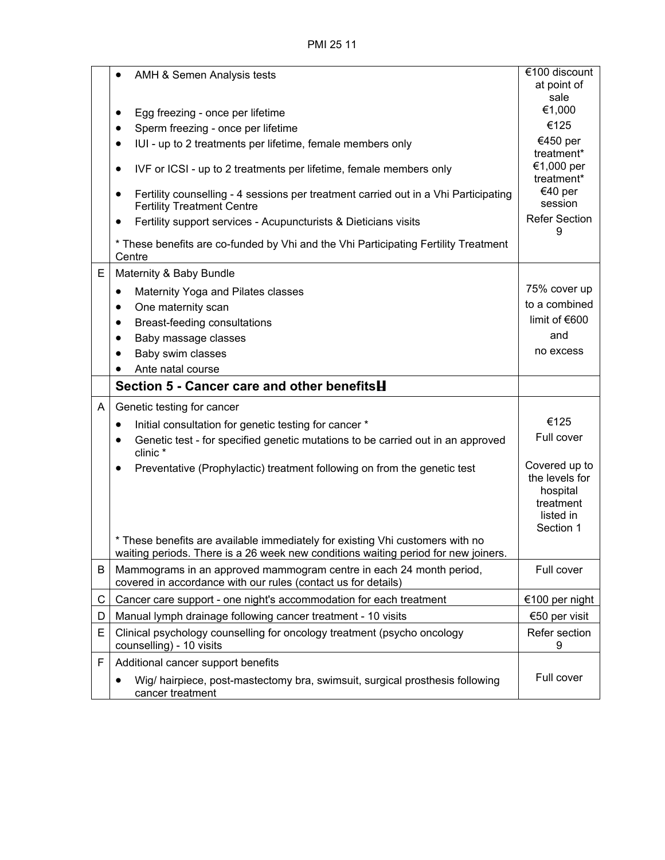PMI 25 11

|   | AMH & Semen Analysis tests                                                                                                                                          | €100 discount<br>at point of                                                       |
|---|---------------------------------------------------------------------------------------------------------------------------------------------------------------------|------------------------------------------------------------------------------------|
|   |                                                                                                                                                                     | sale                                                                               |
|   | Egg freezing - once per lifetime<br>٠                                                                                                                               | €1,000                                                                             |
|   | Sperm freezing - once per lifetime<br>$\bullet$                                                                                                                     | €125                                                                               |
|   | IUI - up to 2 treatments per lifetime, female members only                                                                                                          | €450 per                                                                           |
|   | IVF or ICSI - up to 2 treatments per lifetime, female members only<br>٠                                                                                             | treatment*<br>€1,000 per<br>treatment*                                             |
|   | Fertility counselling - 4 sessions per treatment carried out in a Vhi Participating<br><b>Fertility Treatment Centre</b>                                            | €40 per<br>session                                                                 |
|   | Fertility support services - Acupuncturists & Dieticians visits<br>$\bullet$                                                                                        | <b>Refer Section</b><br>9                                                          |
|   | * These benefits are co-funded by Vhi and the Vhi Participating Fertility Treatment<br>Centre                                                                       |                                                                                    |
| E | Maternity & Baby Bundle                                                                                                                                             |                                                                                    |
|   | Maternity Yoga and Pilates classes<br>$\bullet$                                                                                                                     | 75% cover up                                                                       |
|   | One maternity scan<br>٠                                                                                                                                             | to a combined                                                                      |
|   | Breast-feeding consultations<br>$\bullet$                                                                                                                           | limit of $€600$                                                                    |
|   | Baby massage classes<br>$\bullet$                                                                                                                                   | and                                                                                |
|   | Baby swim classes                                                                                                                                                   | no excess                                                                          |
|   | Ante natal course                                                                                                                                                   |                                                                                    |
|   | Section 5 - Cancer care and other benefits <b>H</b>                                                                                                                 |                                                                                    |
| A | Genetic testing for cancer                                                                                                                                          |                                                                                    |
|   | Initial consultation for genetic testing for cancer *<br>٠                                                                                                          | €125                                                                               |
|   | Genetic test - for specified genetic mutations to be carried out in an approved<br>$\bullet$<br>clinic *                                                            | Full cover                                                                         |
|   | Preventative (Prophylactic) treatment following on from the genetic test                                                                                            | Covered up to<br>the levels for<br>hospital<br>treatment<br>listed in<br>Section 1 |
|   | * These benefits are available immediately for existing Vhi customers with no<br>waiting periods. There is a 26 week new conditions waiting period for new joiners. |                                                                                    |
| B | Mammograms in an approved mammogram centre in each 24 month period,<br>covered in accordance with our rules (contact us for details)                                | Full cover                                                                         |
| С | Cancer care support - one night's accommodation for each treatment                                                                                                  | €100 per night                                                                     |
| D | Manual lymph drainage following cancer treatment - 10 visits                                                                                                        | €50 per visit                                                                      |
| E | Clinical psychology counselling for oncology treatment (psycho oncology<br>counselling) - 10 visits                                                                 | Refer section<br>9                                                                 |
| F | Additional cancer support benefits                                                                                                                                  |                                                                                    |
|   | Wig/ hairpiece, post-mastectomy bra, swimsuit, surgical prosthesis following<br>cancer treatment                                                                    | Full cover                                                                         |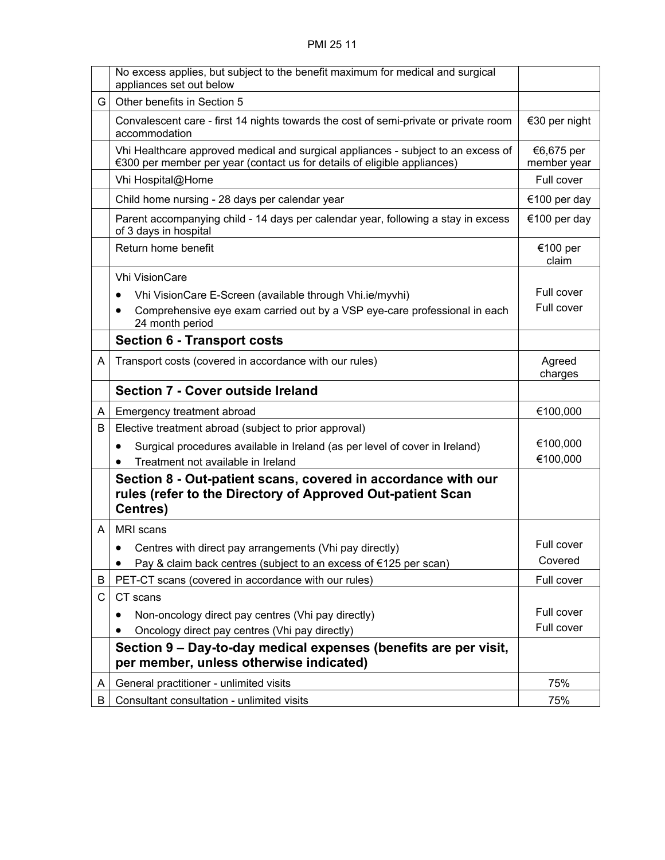|    | No excess applies, but subject to the benefit maximum for medical and surgical<br>appliances set out below                                                    |                           |
|----|---------------------------------------------------------------------------------------------------------------------------------------------------------------|---------------------------|
| G. | Other benefits in Section 5                                                                                                                                   |                           |
|    | Convalescent care - first 14 nights towards the cost of semi-private or private room<br>accommodation                                                         | €30 per night             |
|    | Vhi Healthcare approved medical and surgical appliances - subject to an excess of<br>€300 per member per year (contact us for details of eligible appliances) | €6,675 per<br>member year |
|    | Vhi Hospital@Home                                                                                                                                             | Full cover                |
|    | Child home nursing - 28 days per calendar year                                                                                                                | €100 per day              |
|    | Parent accompanying child - 14 days per calendar year, following a stay in excess<br>of 3 days in hospital                                                    | €100 per day              |
|    | Return home benefit                                                                                                                                           | €100 per<br>claim         |
|    | <b>Vhi VisionCare</b>                                                                                                                                         |                           |
|    | Vhi VisionCare E-Screen (available through Vhi.ie/myvhi)<br>$\bullet$                                                                                         | Full cover                |
|    | Comprehensive eye exam carried out by a VSP eye-care professional in each<br>$\bullet$<br>24 month period                                                     | Full cover                |
|    | <b>Section 6 - Transport costs</b>                                                                                                                            |                           |
| A  | Transport costs (covered in accordance with our rules)                                                                                                        | Agreed<br>charges         |
|    | Section 7 - Cover outside Ireland                                                                                                                             |                           |
| A. | Emergency treatment abroad                                                                                                                                    | €100,000                  |
| B  | Elective treatment abroad (subject to prior approval)                                                                                                         |                           |
|    | Surgical procedures available in Ireland (as per level of cover in Ireland)<br>٠<br>Treatment not available in Ireland                                        | €100,000<br>€100,000      |
|    | Section 8 - Out-patient scans, covered in accordance with our<br>rules (refer to the Directory of Approved Out-patient Scan<br><b>Centres)</b>                |                           |
| A  | MRI scans                                                                                                                                                     |                           |
|    | Centres with direct pay arrangements (Vhi pay directly)                                                                                                       | Full cover                |
|    | Pay & claim back centres (subject to an excess of €125 per scan)                                                                                              | Covered                   |
| B  | PET-CT scans (covered in accordance with our rules)                                                                                                           | Full cover                |
| C  | CT scans                                                                                                                                                      |                           |
|    | Non-oncology direct pay centres (Vhi pay directly)                                                                                                            | Full cover                |
|    | Oncology direct pay centres (Vhi pay directly)                                                                                                                | Full cover                |
|    | Section 9 – Day-to-day medical expenses (benefits are per visit,<br>per member, unless otherwise indicated)                                                   |                           |
| A  | General practitioner - unlimited visits                                                                                                                       | 75%                       |
| B  | Consultant consultation - unlimited visits                                                                                                                    | 75%                       |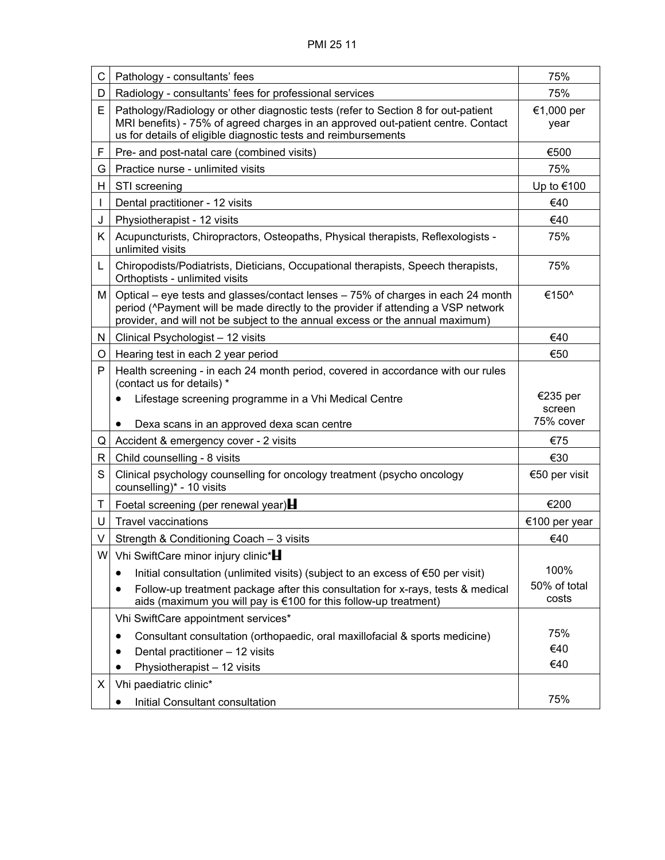| C. | Pathology - consultants' fees                                                                                                                                                                                                                          | 75%                   |
|----|--------------------------------------------------------------------------------------------------------------------------------------------------------------------------------------------------------------------------------------------------------|-----------------------|
| D  | Radiology - consultants' fees for professional services                                                                                                                                                                                                | 75%                   |
| E  | Pathology/Radiology or other diagnostic tests (refer to Section 8 for out-patient<br>MRI benefits) - 75% of agreed charges in an approved out-patient centre. Contact<br>us for details of eligible diagnostic tests and reimbursements                | €1,000 per<br>year    |
| F  | Pre- and post-natal care (combined visits)                                                                                                                                                                                                             | €500                  |
| G  | Practice nurse - unlimited visits                                                                                                                                                                                                                      | 75%                   |
| H. | STI screening                                                                                                                                                                                                                                          | Up to €100            |
|    | Dental practitioner - 12 visits                                                                                                                                                                                                                        | €40                   |
| J  | Physiotherapist - 12 visits                                                                                                                                                                                                                            | €40                   |
| K. | Acupuncturists, Chiropractors, Osteopaths, Physical therapists, Reflexologists -<br>unlimited visits                                                                                                                                                   | 75%                   |
| L  | Chiropodists/Podiatrists, Dieticians, Occupational therapists, Speech therapists,<br>Orthoptists - unlimited visits                                                                                                                                    | 75%                   |
| М  | Optical – eye tests and glasses/contact lenses – 75% of charges in each 24 month<br>period (^Payment will be made directly to the provider if attending a VSP network<br>provider, and will not be subject to the annual excess or the annual maximum) | €150^                 |
| N  | Clinical Psychologist - 12 visits                                                                                                                                                                                                                      | €40                   |
| O  | Hearing test in each 2 year period                                                                                                                                                                                                                     | €50                   |
| P  | Health screening - in each 24 month period, covered in accordance with our rules<br>(contact us for details) *                                                                                                                                         |                       |
|    | Lifestage screening programme in a Vhi Medical Centre<br>$\bullet$                                                                                                                                                                                     | €235 per<br>screen    |
|    | Dexa scans in an approved dexa scan centre                                                                                                                                                                                                             | 75% cover             |
| Q  | Accident & emergency cover - 2 visits                                                                                                                                                                                                                  | €75                   |
| R  | Child counselling - 8 visits                                                                                                                                                                                                                           | €30                   |
| S  | Clinical psychology counselling for oncology treatment (psycho oncology<br>counselling)* - 10 visits                                                                                                                                                   | €50 per visit         |
| Τ  | Foetal screening (per renewal year) $\blacksquare$                                                                                                                                                                                                     | €200                  |
| U  | <b>Travel vaccinations</b>                                                                                                                                                                                                                             | €100 per year         |
| V  | Strength & Conditioning Coach - 3 visits                                                                                                                                                                                                               | €40                   |
|    | W Vhi SwiftCare minor injury clinic*                                                                                                                                                                                                                   |                       |
|    | Initial consultation (unlimited visits) (subject to an excess of $\epsilon$ 50 per visit)<br>$\bullet$                                                                                                                                                 | 100%                  |
|    | Follow-up treatment package after this consultation for x-rays, tests & medical<br>aids (maximum you will pay is €100 for this follow-up treatment)                                                                                                    | 50% of total<br>costs |
|    | Vhi SwiftCare appointment services*                                                                                                                                                                                                                    |                       |
|    | Consultant consultation (orthopaedic, oral maxillofacial & sports medicine)                                                                                                                                                                            | 75%                   |
|    | Dental practitioner - 12 visits                                                                                                                                                                                                                        | €40                   |
|    | Physiotherapist - 12 visits                                                                                                                                                                                                                            | €40                   |
| X  | Vhi paediatric clinic*                                                                                                                                                                                                                                 |                       |
|    |                                                                                                                                                                                                                                                        |                       |